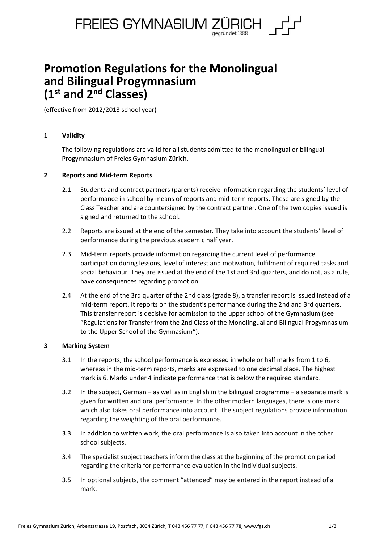

# **Promotion Regulations for the Monolingual and Bilingual Progymnasium (1 st and 2nd Classes)**

(effective from 2012/2013 school year)

# **1 Validity**

The following regulations are valid for all students admitted to the monolingual or bilingual Progymnasium of Freies Gymnasium Zürich.

# **2 Reports and Mid-term Reports**

- 2.1 Students and contract partners (parents) receive information regarding the students' level of performance in school by means of reports and mid-term reports. These are signed by the Class Teacher and are countersigned by the contract partner. One of the two copies issued is signed and returned to the school.
- 2.2 Reports are issued at the end of the semester. They take into account the students' level of performance during the previous academic half year.
- 2.3 Mid-term reports provide information regarding the current level of performance, participation during lessons, level of interest and motivation, fulfilment of required tasks and social behaviour. They are issued at the end of the 1st and 3rd quarters, and do not, as a rule, have consequences regarding promotion.
- 2.4 At the end of the 3rd quarter of the 2nd class (grade 8), a transfer report is issued instead of a mid-term report. It reports on the student's performance during the 2nd and 3rd quarters. This transfer report is decisive for admission to the upper school of the Gymnasium (see "Regulations for Transfer from the 2nd Class of the Monolingual and Bilingual Progymnasium to the Upper School of the Gymnasium").

## **3 Marking System**

- 3.1 In the reports, the school performance is expressed in whole or half marks from 1 to 6, whereas in the mid-term reports, marks are expressed to one decimal place. The highest mark is 6. Marks under 4 indicate performance that is below the required standard.
- 3.2 In the subject, German as well as in English in the bilingual programme a separate mark is given for written and oral performance. In the other modern languages, there is one mark which also takes oral performance into account. The subject regulations provide information regarding the weighting of the oral performance.
- 3.3 In addition to written work, the oral performance is also taken into account in the other school subjects.
- 3.4 The specialist subject teachers inform the class at the beginning of the promotion period regarding the criteria for performance evaluation in the individual subjects.
- 3.5 In optional subjects, the comment "attended" may be entered in the report instead of a mark.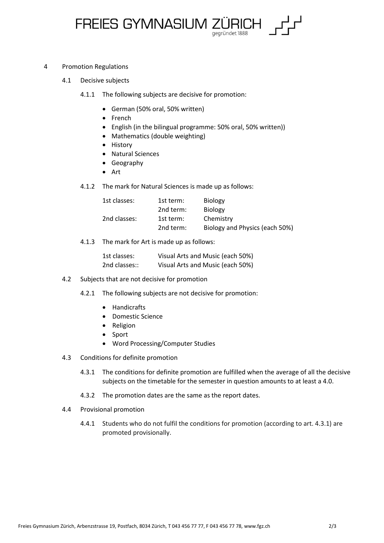

### 4 Promotion Regulations

- 4.1 Decisive subjects
	- 4.1.1 The following subjects are decisive for promotion:
		- German (50% oral, 50% written)
		- French
		- English (in the bilingual programme: 50% oral, 50% written))
		- Mathematics (double weighting)
		- History
		- Natural Sciences
		- Geography
		- Art
	- 4.1.2 The mark for Natural Sciences is made up as follows:

| 1st classes: | 1st term: | <b>Biology</b>                 |
|--------------|-----------|--------------------------------|
|              | 2nd term: | <b>Biology</b>                 |
| 2nd classes: | 1st term: | Chemistry                      |
|              | 2nd term: | Biology and Physics (each 50%) |

4.1.3 The mark for Art is made up as follows:

| 1st classes:  | Visual Arts and Music (each 50%) |
|---------------|----------------------------------|
| 2nd classes:: | Visual Arts and Music (each 50%) |

- 4.2 Subjects that are not decisive for promotion
	- 4.2.1 The following subjects are not decisive for promotion:
		- Handicrafts
		- Domestic Science
		- Religion
		- Sport
		- Word Processing/Computer Studies
- 4.3 Conditions for definite promotion
	- 4.3.1 The conditions for definite promotion are fulfilled when the average of all the decisive subjects on the timetable for the semester in question amounts to at least a 4.0.
	- 4.3.2 The promotion dates are the same as the report dates.
- 4.4 Provisional promotion
	- 4.4.1 Students who do not fulfil the conditions for promotion (according to art. 4.3.1) are promoted provisionally.